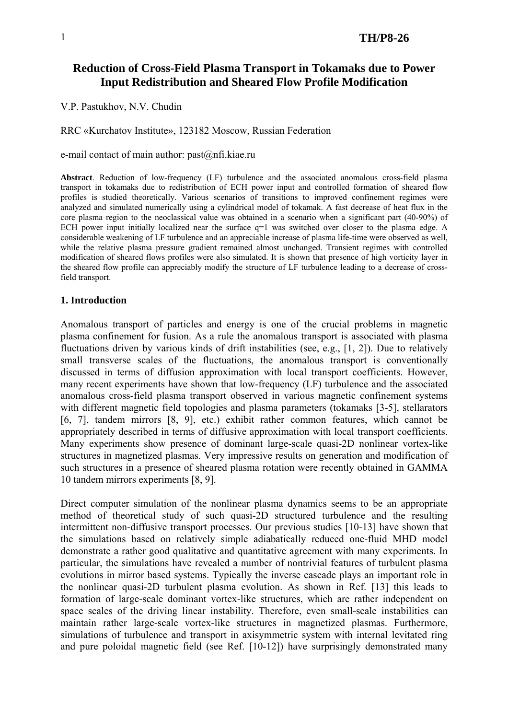# **Reduction of Cross-Field Plasma Transport in Tokamaks due to Power Input Redistribution and Sheared Flow Profile Modification**

V.P. Pastukhov, N.V. Chudin

RRC «Kurchatov Institute», 123182 Moscow, Russian Federation

e-mail contact of main author: [past@nfi.kiae.ru](mailto:past@nfi.kiae.ru)

**Abstract**. Reduction of low-frequency (LF) turbulence and the associated anomalous cross-field plasma transport in tokamaks due to redistribution of ECH power input and controlled formation of sheared flow profiles is studied theoretically. Various scenarios of transitions to improved confinement regimes were analyzed and simulated numerically using a cylindrical model of tokamak. A fast decrease of heat flux in the core plasma region to the neoclassical value was obtained in a scenario when a significant part (40-90%) of ECH power input initially localized near the surface  $q=1$  was switched over closer to the plasma edge. A considerable weakening of LF turbulence and an appreciable increase of plasma life-time were observed as well, while the relative plasma pressure gradient remained almost unchanged. Transient regimes with controlled modification of sheared flows profiles were also simulated. It is shown that presence of high vorticity layer in the sheared flow profile can appreciably modify the structure of LF turbulence leading to a decrease of crossfield transport.

#### **1. Introduction**

Anomalous transport of particles and energy is one of the crucial problems in magnetic plasma confinement for fusion. As a rule the anomalous transport is associated with plasma fluctuations driven by various kinds of drift instabilities (see, e.g., [1, 2]). Due to relatively small transverse scales of the fluctuations, the anomalous transport is conventionally discussed in terms of diffusion approximation with local transport coefficients. However, many recent experiments have shown that low-frequency (LF) turbulence and the associated anomalous cross-field plasma transport observed in various magnetic confinement systems with different magnetic field topologies and plasma parameters (tokamaks [3-5], stellarators [6, 7], tandem mirrors [8, 9], etc.) exhibit rather common features, which cannot be appropriately described in terms of diffusive approximation with local transport coefficients. Many experiments show presence of dominant large-scale quasi-2D nonlinear vortex-like structures in magnetized plasmas. Very impressive results on generation and modification of such structures in a presence of sheared plasma rotation were recently obtained in GAMMA 10 tandem mirrors experiments [8, 9].

Direct computer simulation of the nonlinear plasma dynamics seems to be an appropriate method of theoretical study of such quasi-2D structured turbulence and the resulting intermittent non-diffusive transport processes. Our previous studies [10-13] have shown that the simulations based on relatively simple adiabatically reduced one-fluid MHD model demonstrate a rather good qualitative and quantitative agreement with many experiments. In particular, the simulations have revealed a number of nontrivial features of turbulent plasma evolutions in mirror based systems. Typically the inverse cascade plays an important role in the nonlinear quasi-2D turbulent plasma evolution. As shown in Ref. [13] this leads to formation of large-scale dominant vortex-like structures, which are rather independent on space scales of the driving linear instability. Therefore, even small-scale instabilities can maintain rather large-scale vortex-like structures in magnetized plasmas. Furthermore, simulations of turbulence and transport in axisymmetric system with internal levitated ring and pure poloidal magnetic field (see Ref. [10-12]) have surprisingly demonstrated many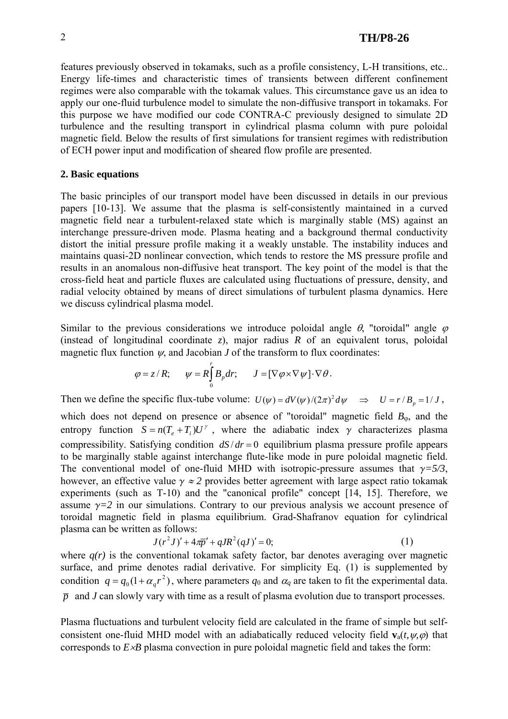features previously observed in tokamaks, such as a profile consistency, L-H transitions, etc.. Energy life-times and characteristic times of transients between different confinement regimes were also comparable with the tokamak values. This circumstance gave us an idea to apply our one-fluid turbulence model to simulate the non-diffusive transport in tokamaks. For this purpose we have modified our code CONTRA-C previously designed to simulate 2D turbulence and the resulting transport in cylindrical plasma column with pure poloidal magnetic field. Below the results of first simulations for transient regimes with redistribution of ECH power input and modification of sheared flow profile are presented.

#### **2. Basic equations**

The basic principles of our transport model have been discussed in details in our previous papers [10-13]. We assume that the plasma is self-consistently maintained in a curved magnetic field near a turbulent-relaxed state which is marginally stable (MS) against an interchange pressure-driven mode. Plasma heating and a background thermal conductivity distort the initial pressure profile making it a weakly unstable. The instability induces and maintains quasi-2D nonlinear convection, which tends to restore the MS pressure profile and results in an anomalous non-diffusive heat transport. The key point of the model is that the cross-field heat and particle fluxes are calculated using fluctuations of pressure, density, and radial velocity obtained by means of direct simulations of turbulent plasma dynamics. Here we discuss cylindrical plasma model.

Similar to the previous considerations we introduce poloidal angle  $\theta$ , "toroidal" angle  $\varphi$ (instead of longitudinal coordinate *z*), major radius *R* of an equivalent torus, poloidal magnetic flux function  $\psi$ , and Jacobian *J* of the transform to flux coordinates:

$$
\varphi = z/R; \qquad \psi = R \int_{0}^{r} B_{p} dr; \qquad J = [\nabla \varphi \times \nabla \psi] \cdot \nabla \theta.
$$

Then we define the specific flux-tube volume:  $U(\psi) = dV(\psi)/(2\pi)^2 d\psi \implies U = r/B_p = 1/J$ ,

which does not depend on presence or absence of "toroidal" magnetic field  $B_{\varphi}$ , and the entropy function  $S = n(T_e + T_i)U^{\gamma}$ , where the adiabatic index  $\gamma$  characterizes plasma compressibility. Satisfying condition  $dS/dr = 0$  equilibrium plasma pressure profile appears to be marginally stable against interchange flute-like mode in pure poloidal magnetic field. The conventional model of one-fluid MHD with isotropic-pressure assumes that  $\gamma = 5/3$ , however, an effective value  $\gamma \approx 2$  provides better agreement with large aspect ratio tokamak experiments (such as T-10) and the "canonical profile" concept [14, 15]. Therefore, we assume  $\gamma = 2$  in our simulations. Contrary to our previous analysis we account presence of toroidal magnetic field in plasma equilibrium. Grad-Shafranov equation for cylindrical plasma can be written as follows:

$$
J(r^2J)' + 4\pi \overline{p}' + qJR^2(qJ)' = 0;
$$
 (1)

where  $q(r)$  is the conventional tokamak safety factor, bar denotes averaging over magnetic surface, and prime denotes radial derivative. For simplicity Eq. (1) is supplemented by condition  $q = q_0 (1 + \alpha_q r^2)$ , where parameters  $q_0$  and  $\alpha_q$  are taken to fit the experimental data.  $\bar{p}$  and *J* can slowly vary with time as a result of plasma evolution due to transport processes.

Plasma fluctuations and turbulent velocity field are calculated in the frame of simple but selfconsistent one-fluid MHD model with an adiabatically reduced velocity field  $\mathbf{v}_a(t, \psi, \phi)$  that corresponds to *E*×*B* plasma convection in pure poloidal magnetic field and takes the form: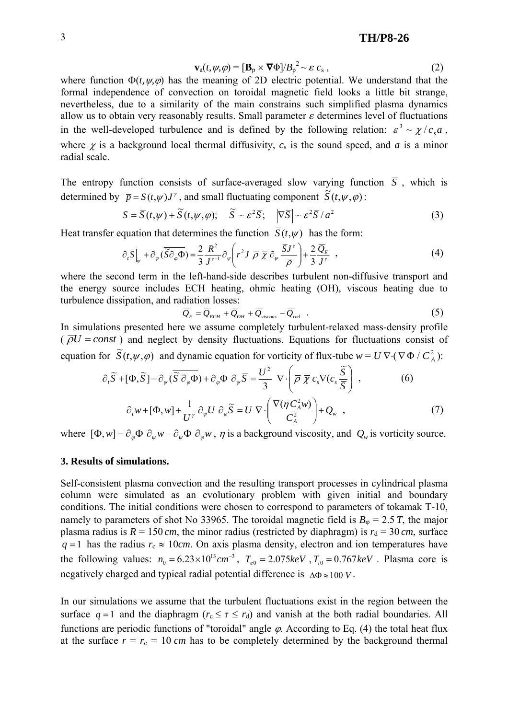$$
\mathbf{v}_{a}(t, \psi, \varphi) = [\mathbf{B}_{p} \times \nabla \Phi]/B_{p}^{2} \sim \varepsilon c_{s}, \qquad (2)
$$

where function  $\Phi(t, \psi, \phi)$  has the meaning of 2D electric potential. We understand that the formal independence of convection on toroidal magnetic field looks a little bit strange, nevertheless, due to a similarity of the main constrains such simplified plasma dynamics allow us to obtain very reasonably results. Small parameter  $\varepsilon$  determines level of fluctuations in the well-developed turbulence and is defined by the following relation:  $\varepsilon^3 \sim \chi / c_s a$ , where  $\chi$  is a background local thermal diffusivity,  $c_s$  is the sound speed, and  $a$  is a minor radial scale.

The entropy function consists of surface-averaged slow varying function  $\overline{S}$ , which is determined by  $\bar{p} = \bar{S}(t, \psi) J^{\gamma}$ , and small fluctuating component  $\tilde{S}(t, \psi, \varphi)$ :

$$
S = \overline{S}(t, \psi) + \widetilde{S}(t, \psi, \varphi); \quad \widetilde{S} \sim \varepsilon^2 \overline{S}; \quad |\nabla \overline{S}| \sim \varepsilon^2 \overline{S} / a^2 \tag{3}
$$

Heat transfer equation that determines the function  $\overline{S}(t,\psi)$  has the form:

$$
\partial_t \overline{S}\Big|_{\psi} + \partial_{\psi} (\overline{\widetilde{S}} \partial_{\varphi} \overline{\Phi}) = \frac{2}{3} \frac{R^2}{J^{\gamma - 1}} \partial_{\psi} \left( r^2 J \overline{\rho} \overline{\chi} \partial_{\psi} \frac{\overline{S} J^{\gamma}}{\overline{\rho}} \right) + \frac{2}{3} \frac{\overline{Q}_E}{J^{\gamma}} , \qquad (4)
$$

where the second term in the left-hand-side describes turbulent non-diffusive transport and the energy source includes ECH heating, ohmic heating (OH), viscous heating due to turbulence dissipation, and radiation losses:

$$
\overline{Q}_E = \overline{Q}_{ECH} + \overline{Q}_{OH} + \overline{Q}_{viscous} - \overline{Q}_{rad} \quad . \tag{5}
$$

In simulations presented here we assume completely turbulent-relaxed mass-density profile  $(\overline{\rho}U = const)$  and neglect by density fluctuations. Equations for fluctuations consist of equation for  $\widetilde{S}(t, \psi, \varphi)$  and dynamic equation for vorticity of flux-tube  $w = U \nabla \cdot (\nabla \Phi / C_A^2)$ :

$$
\partial_t \widetilde{S} + [\Phi, \widetilde{S}] - \partial_{\psi} (\overline{\widetilde{S}} \partial_{\varphi} \overline{\Phi}) + \partial_{\varphi} \Phi \partial_{\psi} \overline{S} = \frac{U^2}{3} \nabla \cdot \left( \overline{\rho} \overline{\chi} c_s \nabla (c_s \frac{\widetilde{S}}{\overline{S}}) \right),
$$
(6)  

$$
\partial_t w + [\Phi, w] + \frac{1}{U^{\gamma}} \partial_{\psi} U \partial_{\varphi} \widetilde{S} = U \nabla \cdot \left( \frac{\nabla (\overline{\eta} C_A^2 w)}{C_A^2} \right) + Q_w ,
$$

*A*

⎠ ⎝ where  $[\Phi, w] = \partial_{\omega} \Phi \partial_{\omega} w - \partial_{\omega} \Phi \partial_{\omega} w$ ,  $\eta$  is a background viscosity, and  $Q_{\omega}$  is vorticity source.

#### **3. Results of simulations.**

Self-consistent plasma convection and the resulting transport processes in cylindrical plasma column were simulated as an evolutionary problem with given initial and boundary conditions. The initial conditions were chosen to correspond to parameters of tokamak T-10, namely to parameters of shot No 33965. The toroidal magnetic field is  $B_{\phi} = 2.5 T$ , the major plasma radius is  $R = 150$  *cm*, the minor radius (restricted by diaphragm) is  $r_d = 30$  *cm*, surface  $q = 1$  has the radius  $r_c \approx 10$ *cm*. On axis plasma density, electron and ion temperatures have the following values:  $n_0 = 6.23 \times 10^{13} \text{ cm}^{-3}$ ,  $T_{e0} = 2.075 \text{ keV}$ ,  $T_{i0} = 0.767 \text{ keV}$ . Plasma core is negatively charged and typical radial potential difference is ∆Φ ≈100 *V* .

In our simulations we assume that the turbulent fluctuations exist in the region between the surface  $q = 1$  and the diaphragm ( $r_c \le r \le r_d$ ) and vanish at the both radial boundaries. All functions are periodic functions of "toroidal" angle  $\varphi$ . According to Eq. (4) the total heat flux at the surface  $r = r_c = 10$  *cm* has to be completely determined by the background thermal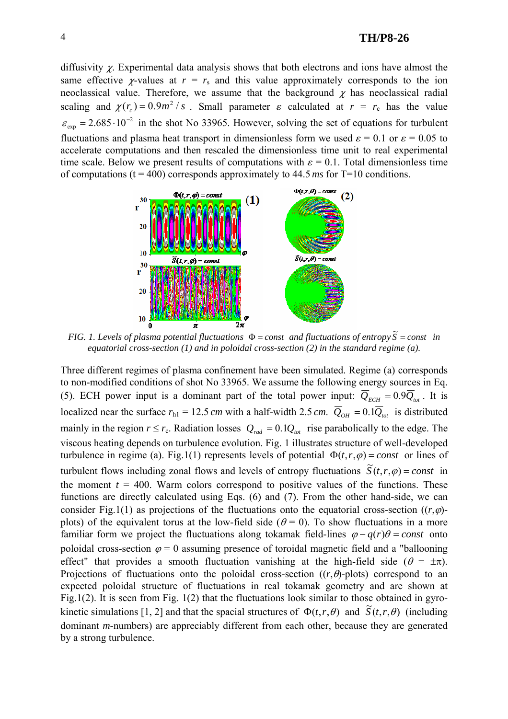### 4 **TH/P8-26**

diffusivity  $\chi$ . Experimental data analysis shows that both electrons and ions have almost the same effective *χ*-values at  $r = r_s$  and this value approximately corresponds to the ion neoclassical value. Therefore, we assume that the background  $\chi$  has neoclassical radial scaling and  $\chi(r_c) = 0.9 m^2 / s$ . Small parameter  $\varepsilon$  calculated at  $r = r_c$  has the value  $\varepsilon_{\text{exp}} = 2.685 \cdot 10^{-2}$  in the shot No 33965. However, solving the set of equations for turbulent fluctuations and plasma heat transport in dimensionless form we used  $\epsilon = 0.1$  or  $\epsilon = 0.05$  to accelerate computations and then rescaled the dimensionless time unit to real experimental time scale. Below we present results of computations with  $\varepsilon = 0.1$ . Total dimensionless time of computations (t = 400) corresponds approximately to 44.5 *ms* for T=10 conditions.



*FIG. 1. Levels of plasma potential fluctuations*  $\Phi$  = *const* and *fluctuations of entropy*  $\widetilde{S}$  = *const* in *equatorial cross-section (1) and in poloidal cross-section (2) in the standard regime (a).* 

Three different regimes of plasma confinement have been simulated. Regime (a) corresponds to non-modified conditions of shot No 33965. We assume the following energy sources in Eq. (5). ECH power input is a dominant part of the total power input:  $\overline{Q}_{ECH} = 0.9 \overline{Q}_{tot}$ . It is localized near the surface  $r_{h1} = 12.5$  *cm* with a half-width 2.5 *cm*.  $\overline{Q}_{OH} = 0.1\overline{Q}_{tot}$  is distributed mainly in the region  $r \le r_c$ . Radiation losses  $\overline{Q}_{rad} = 0.1\overline{Q}_{tot}$  rise parabolically to the edge. The viscous heating depends on turbulence evolution. Fig. 1 illustrates structure of well-developed turbulence in regime (a). Fig.1(1) represents levels of potential  $\Phi(t,r,\varphi) = const$  or lines of turbulent flows including zonal flows and levels of entropy fluctuations  $\tilde{S}(t, r, \varphi) = const$  in the moment  $t = 400$ . Warm colors correspond to positive values of the functions. These functions are directly calculated using Eqs. (6) and (7). From the other hand-side, we can consider Fig.1(1) as projections of the fluctuations onto the equatorial cross-section  $((r, \varphi)$ plots) of the equivalent torus at the low-field side ( $\theta = 0$ ). To show fluctuations in a more familiar form we project the fluctuations along tokamak field-lines  $\varphi - q(r)\theta = const$  onto poloidal cross-section  $\varphi = 0$  assuming presence of toroidal magnetic field and a "ballooning" effect" that provides a smooth fluctuation vanishing at the high-field side ( $\theta = \pm \pi$ ). Projections of fluctuations onto the poloidal cross-section  $((r, \theta)$ -plots) correspond to an expected poloidal structure of fluctuations in real tokamak geometry and are shown at Fig.1(2). It is seen from Fig. 1(2) that the fluctuations look similar to those obtained in gyrokinetic simulations [1, 2] and that the spacial structures of  $\Phi(t,r,\theta)$  and  $\widetilde{S}(t,r,\theta)$  (including dominant *m*-numbers) are appreciably different from each other, because they are generated by a strong turbulence.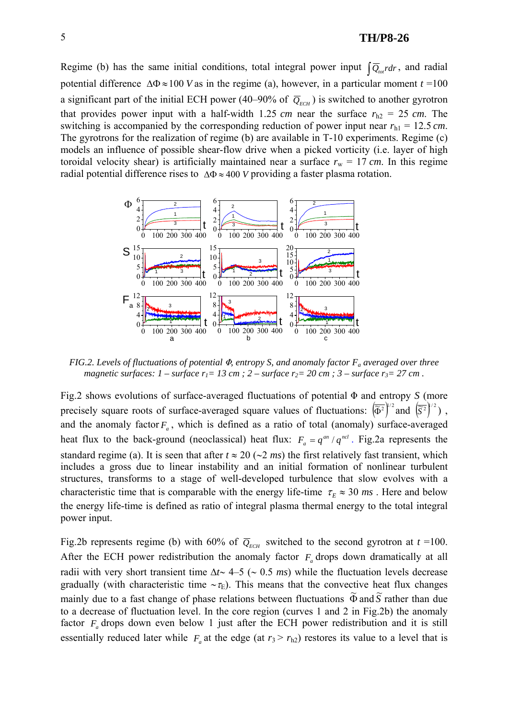## **TH/P8-26**

Regime (b) has the same initial conditions, total integral power input  $\left[\overline{Q}_{\mu\nu}rdr\right]$ , and radial potential difference  $\Delta \Phi \approx 100$  *V* as in the regime (a), however, in a particular moment  $t = 100$ a significant part of the initial ECH power (40–90% of  $\overline{Q}_{\text{ECH}}$ ) is switched to another gyrotron that provides power input with a half-width 1.25 *cm* near the surface  $r_{h2} = 25$  *cm*. The switching is accompanied by the corresponding reduction of power input near  $r<sub>h1</sub> = 12.5$  *cm*. The gyrotrons for the realization of regime (b) are available in T-10 experiments. Regime (c) models an influence of possible shear-flow drive when a picked vorticity (i.e. layer of high toroidal velocity shear) is artificially maintained near a surface  $r_w = 17$  cm. In this regime radial potential difference rises to ∆Φ ≈ 400 *V* providing a faster plasma rotation.



*FIG.2. Levels of fluctuations of potential*  $\Phi$ *, entropy S, and anomaly factor*  $F_a$  *averaged over three magnetic surfaces:*  $1$  – *surface*  $r_1 = 13$  cm;  $2$  – *surface*  $r_2 = 20$  cm;  $3$  – *surface*  $r_3 = 27$  cm.

Fig.2 shows evolutions of surface-averaged fluctuations of potential  $\Phi$  and entropy *S* (more precisely square roots of surface-averaged square values of fluctuations:  $(\overline{\tilde{\Phi}}^2)^{1/2}$  and  $(\overline{\tilde{S}}^2)^{1/2}$ ), and the anomaly factor  $F_a$ , which is defined as a ratio of total (anomaly) surface-averaged heat flux to the back-ground (neoclassical) heat flux:  $F_a = q^{an} / q^{ncl}$ . Fig.2a represents the standard regime (a). It is seen that after *t* ≈ 20 (∼2 *ms*) the first relatively fast transient, which includes a gross due to linear instability and an initial formation of nonlinear turbulent structures, transforms to a stage of well-developed turbulence that slow evolves with a characteristic time that is comparable with the energy life-time  $\tau_E \approx 30$  *ms*. Here and below the energy life-time is defined as ratio of integral plasma thermal energy to the total integral power input.

Fig.2b represents regime (b) with 60% of  $\overline{Q}_{\text{ECH}}$  switched to the second gyrotron at  $t = 100$ . After the ECH power redistribution the anomaly factor  $F_a$  drops down dramatically at all radii with very short transient time ∆*t*∼ 4–5 (∼ 0.5 *ms*) while the fluctuation levels decrease gradually (with characteristic time  $~\sim$   $~\tau_{\rm E}$ ). This means that the convective heat flux changes mainly due to a fast change of phase relations between fluctuations  $\widetilde{\Phi}$  and  $\widetilde{S}$  rather than due  $\widetilde{S}$ to a decrease of fluctuation level. In the core region (curves 1 and 2 in Fig.2b) the anomaly factor  $F_a$  drops down even below 1 just after the ECH power redistribution and it is still essentially reduced later while  $F_a$  at the edge (at  $r_3 > r_{h2}$ ) restores its value to a level that is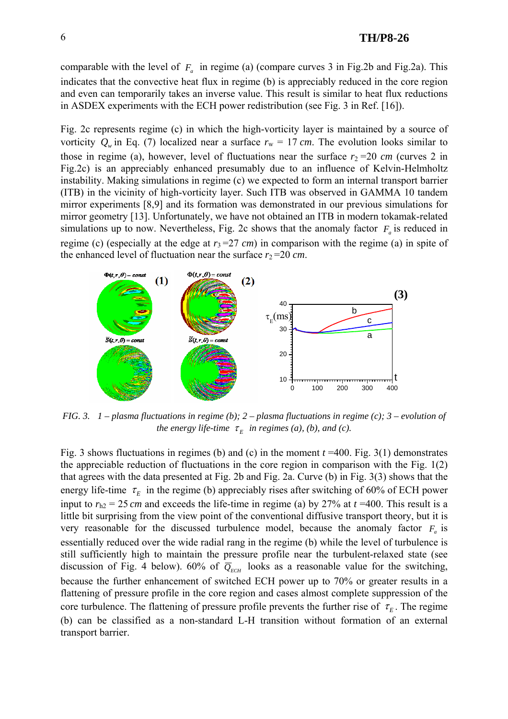comparable with the level of  $F_a$  in regime (a) (compare curves 3 in Fig.2b and Fig.2a). This indicates that the convective heat flux in regime (b) is appreciably reduced in the core region and even can temporarily takes an inverse value. This result is similar to heat flux reductions in ASDEX experiments with the ECH power redistribution (see Fig. 3 in Ref. [16]).

Fig. 2c represents regime (c) in which the high-vorticity layer is maintained by a source of vorticity  $Q_w$  in Eq. (7) localized near a surface  $r_w = 17$  cm. The evolution looks similar to those in regime (a), however, level of fluctuations near the surface  $r_2 = 20$  *cm* (curves 2 in Fig.2c) is an appreciably enhanced presumably due to an influence of Kelvin-Helmholtz instability. Making simulations in regime (c) we expected to form an internal transport barrier (ITB) in the vicinity of high-vorticity layer. Such ITB was observed in GAMMA 10 tandem mirror experiments [8,9] and its formation was demonstrated in our previous simulations for mirror geometry [13]. Unfortunately, we have not obtained an ITB in modern tokamak-related simulations up to now. Nevertheless, Fig. 2c shows that the anomaly factor  $F_a$  is reduced in regime (c) (especially at the edge at  $r_3$ =27 *cm*) in comparison with the regime (a) in spite of the enhanced level of fluctuation near the surface  $r_2 = 20$  *cm*.



*FIG. 3. 1 – plasma fluctuations in regime (b); 2 – plasma fluctuations in regime (c); 3 – evolution of the energy life-time*  $\tau_F$  *in regimes (a), (b), and (c).* 

Fig. 3 shows fluctuations in regimes (b) and (c) in the moment *t* =400. Fig. 3(1) demonstrates the appreciable reduction of fluctuations in the core region in comparison with the Fig. 1(2) that agrees with the data presented at Fig. 2b and Fig. 2a. Curve (b) in Fig. 3(3) shows that the energy life-time  $\tau_E$  in the regime (b) appreciably rises after switching of 60% of ECH power input to  $r_{h2} = 25$  *cm* and exceeds the life-time in regime (a) by 27% at  $t = 400$ . This result is a little bit surprising from the view point of the conventional diffusive transport theory, but it is very reasonable for the discussed turbulence model, because the anomaly factor  $F_a$  is essentially reduced over the wide radial rang in the regime (b) while the level of turbulence is still sufficiently high to maintain the pressure profile near the turbulent-relaxed state (see discussion of Fig. 4 below). 60% of  $\overline{Q}_{ECH}$  looks as a reasonable value for the switching, because the further enhancement of switched ECH power up to 70% or greater results in a flattening of pressure profile in the core region and cases almost complete suppression of the core turbulence. The flattening of pressure profile prevents the further rise of  $\tau<sub>E</sub>$ . The regime (b) can be classified as a non-standard L-H transition without formation of an external transport barrier.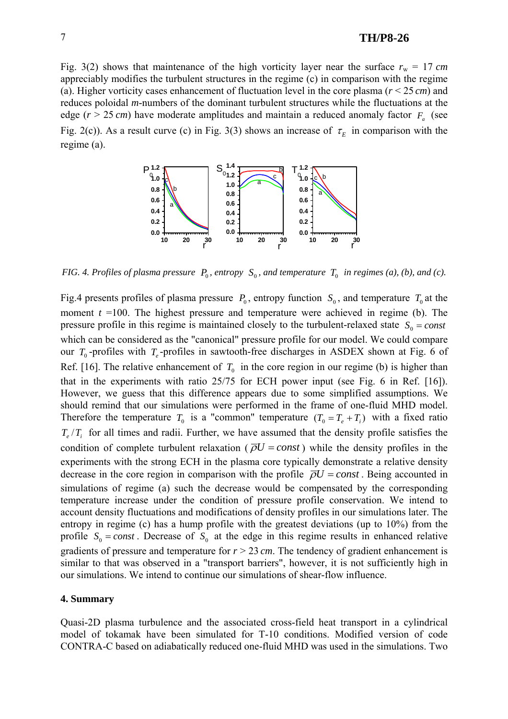# 7 **TH/P8-26**

Fig. 3(2) shows that maintenance of the high vorticity layer near the surface  $r_w = 17$  cm appreciably modifies the turbulent structures in the regime (c) in comparison with the regime (a). Higher vorticity cases enhancement of fluctuation level in the core plasma (*r* < 25 *cm*) and reduces poloidal *m*-numbers of the dominant turbulent structures while the fluctuations at the edge ( $r > 25$  *cm*) have moderate amplitudes and maintain a reduced anomaly factor  $F_a$  (see Fig. 2(c)). As a result curve (c) in Fig. 3(3) shows an increase of  $\tau_E$  in comparison with the regime (a).



*FIG.* 4. Profiles of plasma pressure  $P_0$ , entropy  $S_0$ , and temperature  $T_0$  in regimes (a), (b), and (c).

Fig.4 presents profiles of plasma pressure  $P_0$ , entropy function  $S_0$ , and temperature  $T_0$  at the moment  $t = 100$ . The highest pressure and temperature were achieved in regime (b). The pressure profile in this regime is maintained closely to the turbulent-relaxed state  $S_0 = const$ which can be considered as the "canonical" pressure profile for our model. We could compare our  $T_0$ -profiles with  $T_e$ -profiles in sawtooth-free discharges in ASDEX shown at Fig. 6 of Ref. [16]. The relative enhancement of  $T_0$  in the core region in our regime (b) is higher than that in the experiments with ratio 25/75 for ECH power input (see Fig. 6 in Ref. [16]). However, we guess that this difference appears due to some simplified assumptions. We should remind that our simulations were performed in the frame of one-fluid MHD model. Therefore the temperature  $T_0$  is a "common" temperature  $(T_0 = T_e + T_i)$  with a fixed ratio  $T_e/T_i$  for all times and radii. Further, we have assumed that the density profile satisfies the condition of complete turbulent relaxation ( $\overline{\rho}U = const$ ) while the density profiles in the experiments with the strong ECH in the plasma core typically demonstrate a relative density decrease in the core region in comparison with the profile  $\overline{\rho}U = const$ . Being accounted in simulations of regime (a) such the decrease would be compensated by the corresponding temperature increase under the condition of pressure profile conservation. We intend to account density fluctuations and modifications of density profiles in our simulations later. The entropy in regime (c) has a hump profile with the greatest deviations (up to 10%) from the profile  $S_0 = const$ . Decrease of  $S_0$  at the edge in this regime results in enhanced relative gradients of pressure and temperature for  $r > 23$  cm. The tendency of gradient enhancement is similar to that was observed in a "transport barriers", however, it is not sufficiently high in our simulations. We intend to continue our simulations of shear-flow influence.

#### **4. Summary**

Quasi-2D plasma turbulence and the associated cross-field heat transport in a cylindrical model of tokamak have been simulated for T-10 conditions. Modified version of code CONTRA-C based on adiabatically reduced one-fluid MHD was used in the simulations. Two